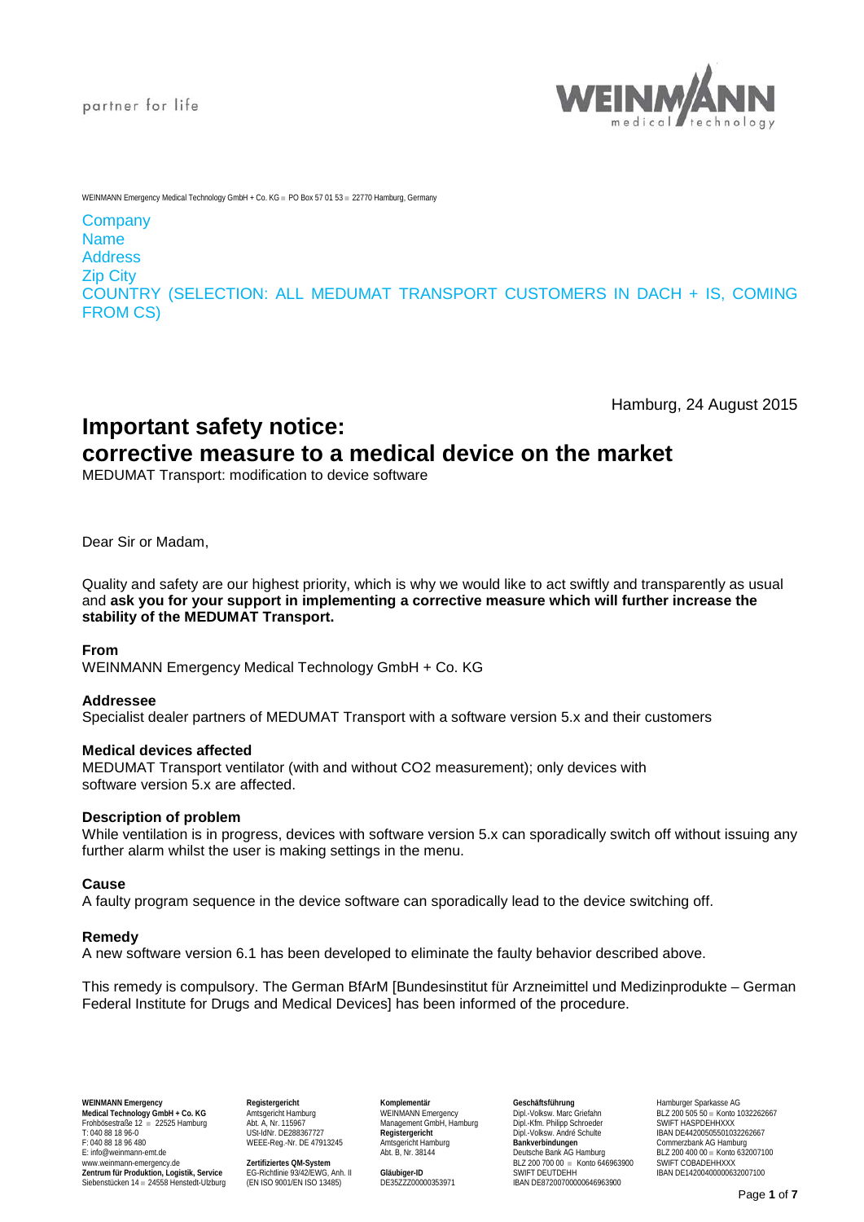

WEINMANN Emergency Medical Technology GmbH + Co. KG = PO Box 57.01.53 = 22770 Hamburg, Germany

## **Company** Name Address Zip City

COUNTRY (SELECTION: ALL MEDUMAT TRANSPORT CUSTOMERS IN DACH + IS, COMING FROM CS)

Hamburg, 24 August 2015

# **Important safety notice:**

## **corrective measure to a medical device on the market**

MEDUMAT Transport: modification to device software

Dear Sir or Madam,

Quality and safety are our highest priority, which is why we would like to act swiftly and transparently as usual and **ask you for your support in implementing a corrective measure which will further increase the stability of the MEDUMAT Transport.**

## **From**

WEINMANN Emergency Medical Technology GmbH + Co. KG

## **Addressee**

Specialist dealer partners of MEDUMAT Transport with a software version 5.x and their customers

## **Medical devices affected**

MEDUMAT Transport ventilator (with and without CO2 measurement); only devices with software version 5.x are affected.

## **Description of problem**

While ventilation is in progress, devices with software version 5.x can sporadically switch off without issuing any further alarm whilst the user is making settings in the menu.

## **Cause**

A faulty program sequence in the device software can sporadically lead to the device switching off.

## **Remedy**

A new software version 6.1 has been developed to eliminate the faulty behavior described above.

This remedy is compulsory. The German BfArM [Bundesinstitut für Arzneimittel und Medizinprodukte – German Federal Institute for Drugs and Medical Devices] has been informed of the procedure.

WEINMANN Emergency Hamburger Sparkasse AG Registergericht Megistergericht Komplementär Medical Technology Genetal Hamburger Sparkasse AG Nedical Technology GmbH + Co. KG Amtsgericht Hamburg Megister Megister Medical Dipl.-Frohbösestraße 12 ■ 22525 Hamburg Abt. A, Nr. 115967 Management GmbH, Hamburg Dipl.-Kfm. Philipp Schroeder SWIFT HASPDEHHXXX T: 040 88 18 96-0 USt-IdNr. DE288367727 Registergericht Dipl.-Volksw. André Schulte IBAN DE44200505501032262667<br>
T: 040 88 18 96-0<br>
E: Info@weinmann-emt.de WEEE-Reg.-Nr. DE 47913245 Amtsgericht Hamburg Abt. B, Nr. 38144 De F: 040 88 18 96 480 WEEE-Reg.-Nr. DE 47913245 Amtsgericht Hamburg **Bankverbindungen** Commerzbank AG Hamburg

www.weinmann-emergency.de **Zertifiziertes QM-System** BLZ 200 700 00 ■ Konto 646963900 SWIFT COBADEHHXXX **Zentrum für Produktion, Logistik, Service** EG-Richtlinie 93/42/EWG, Anh. II **Gläubiger-ID** SWIFT DEUTDEHH IBAN DE14200400000632007100 Siebenstücken 14 ■ 24558 Henstedt-Ulzburg (EN ISO 9001/EN ISO 13485) DE35ZZZ00000353971 IBAN DE87200700000646963900

WEEE-Reg.-Nr. DE 47913245 Amisgericht Hamburg<br>
Abt. B, Nr. 38144 Deutsche Bank AG Hamburg BLZ 200 400 00 ■ Konto 632007100<br>
Zertifiziertes QM-System BLZ 200 400 Deutsche Bank AG Hamburg BLZ 200 400 00 ■ Konto 632007100<br>
E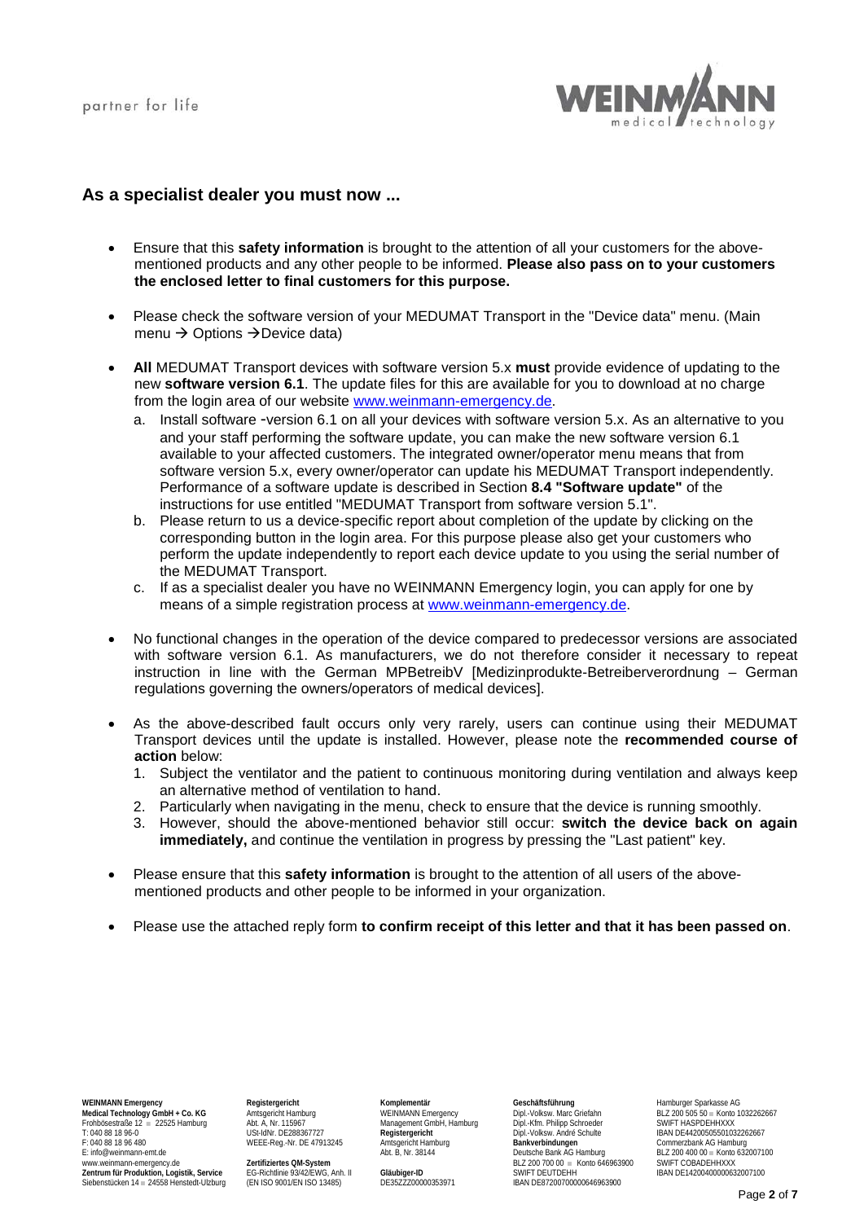

## **As a specialist dealer you must now ...**

- Ensure that this **safety information** is brought to the attention of all your customers for the abovementioned products and any other people to be informed. **Please also pass on to your customers the enclosed letter to final customers for this purpose.**
- Please check the software version of your MEDUMAT Transport in the "Device data" menu. (Main menu  $\rightarrow$  Options  $\rightarrow$  Device data)
- **All** MEDUMAT Transport devices with software version 5.x **must** provide evidence of updating to the new **software version 6.1**. The update files for this are available for you to download at no charge from the login area of our website [www.weinmann-emergency.de.](http://www.weinmann-emergency.de/)
	- a. Install software -version 6.1 on all your devices with software version 5.x. As an alternative to you and your staff performing the software update, you can make the new software version 6.1 available to your affected customers. The integrated owner/operator menu means that from software version 5.x, every owner/operator can update his MEDUMAT Transport independently. Performance of a software update is described in Section **8.4 "Software update"** of the instructions for use entitled "MEDUMAT Transport from software version 5.1".
	- b. Please return to us a device-specific report about completion of the update by clicking on the corresponding button in the login area. For this purpose please also get your customers who perform the update independently to report each device update to you using the serial number of the MEDUMAT Transport.
	- c. If as a specialist dealer you have no WEINMANN Emergency login, you can apply for one by means of a simple registration process at [www.weinmann-emergency.de.](http://www.weinmann-emergency.de/)
- No functional changes in the operation of the device compared to predecessor versions are associated with software version 6.1. As manufacturers, we do not therefore consider it necessary to repeat instruction in line with the German MPBetreibV [Medizinprodukte-Betreiberverordnung – German regulations governing the owners/operators of medical devices].
- As the above-described fault occurs only very rarely, users can continue using their MEDUMAT Transport devices until the update is installed. However, please note the **recommended course of action** below:
	- 1. Subject the ventilator and the patient to continuous monitoring during ventilation and always keep an alternative method of ventilation to hand.
	- 2. Particularly when navigating in the menu, check to ensure that the device is running smoothly.
	- 3. However, should the above-mentioned behavior still occur: **switch the device back on again immediately,** and continue the ventilation in progress by pressing the "Last patient" key.
- Please ensure that this **safety information** is brought to the attention of all users of the abovementioned products and other people to be informed in your organization.
- Please use the attached reply form **to confirm receipt of this letter and that it has been passed on**.

WEINMANN Emergency<br> **Medical Technology GmbH + Co. KG** Amtsgericht Hamburg **Complementar Complementar Geschäftsführung** Geschäftsführung<br>
Dipl.-Volksw. Marc Griefahn BLZ 200 505 50 = Konto 1032262667 Medical Technology GmbH + Co. KG Amtsgericht Hamburg WEINMANN Emergency Dipl.-Volksw. Marc Griefahn BLZ 200 505 50 = Konto<br>Frohbösestraße 12 = 22525 Hamburg Abt. A, Nr. 115967 Management GmbH, Hamburg Dipl.-Kfm. Philipp Sc Frohbösestraße 12 ■ 22525 Hamburg Abt. A, Nr. 115967 Management GmbH, Hamburg Dipl.-Kfm. Philipp Schroeder Abt. A, Nr. 115967<br>T: 040 88 18 96-0 USI-IdNr. DE288367727 Registergericht Dipl.-Volksw. André Sc T: 040 88 18 96-0 USt-IdNr. DE288367727 **Registergericht** USt-Immunes and Dipl.-Volksw. André Schulte IBAN DE44200505501032262667<br>
T: 040 88 18 96-0 USt-1dNr. DE288367727 **Registergericht Dipl.-Volksw. André Schulte IBAN** F: 040 88 18 96 480 WEEE-Reg.-Nr. DE 47913245 Amtsgericht Ham<br>E: info@weinmann-emt.de **Bank Ag Hamburg Ad Act Bank Ag Hamburg Ad Act B**, Nr. 38144

Siebenstücken 14 ■ 24558 Henstedt-Ulzburg (EN ISO 9001/EN ISO 13485) DE35ZZZ00000353971 IBAN DE87200700000646963900

WEEE-Reg.-Nr. DE 47913245 Amisgericht Hamburg<br>
Abt. B, Nr. 38144 Deutsche Bank AG Hamburg BLZ 200 400 00 ■ Konto 632007100<br>
Zertifiziertes QM-System BLZ 200 400 Deutsche Bank AG Hamburg BLZ 200 400 00 ■ Konto 632007100<br>
E www.weinmann-emergency.de **Zertifiziertes QM-System** BLZ 200 700 00 ■ Konto 646963900 SWIFT COBADEHHXXX **Zentrum für Produktion, Logistik, Service** EG-Richtlinie 93/42/EWG, Anh. II **Gläubiger-ID** SWIFT DEUTDEHH IBAN DE14200400000632007100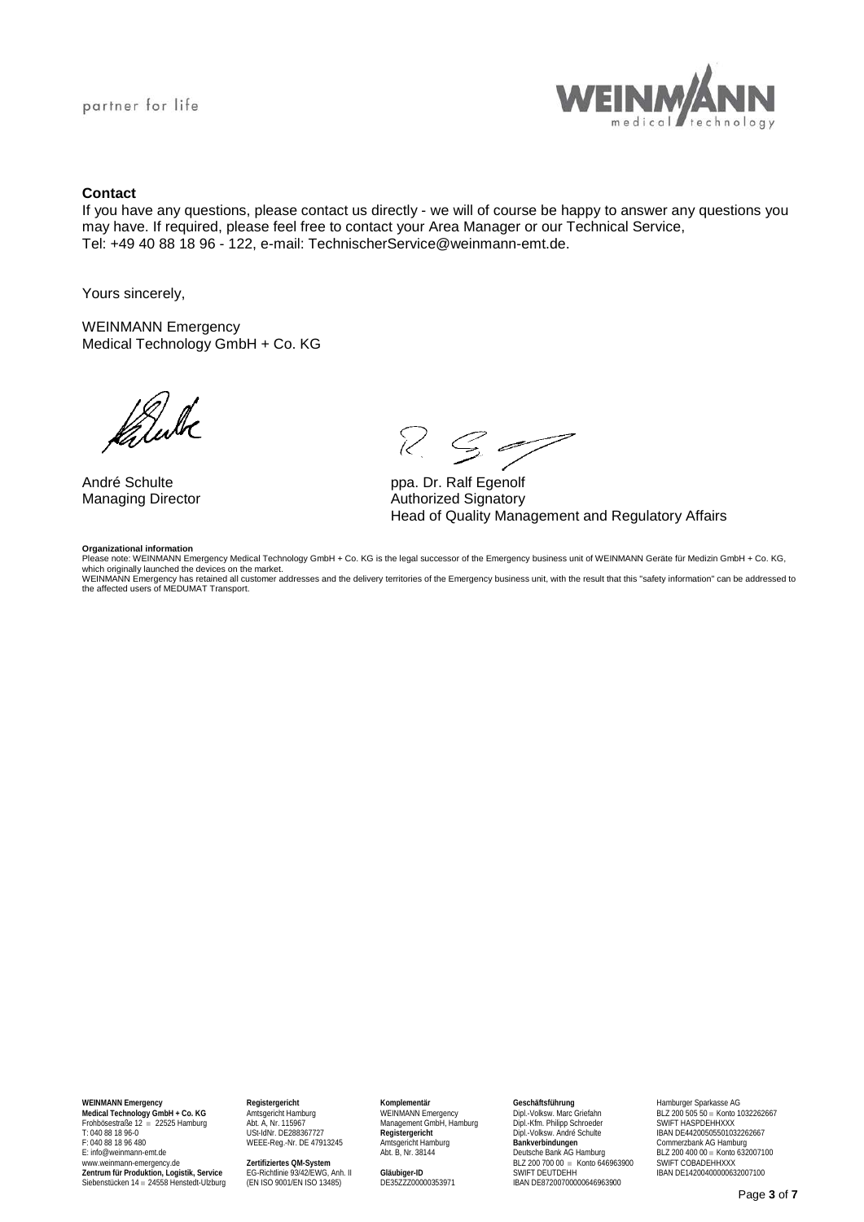

## **Contact**

If you have any questions, please contact us directly - we will of course be happy to answer any questions you may have. If required, please feel free to contact your Area Manager or our Technical Service, Tel: +49 40 88 18 96 - 122, e-mail: TechnischerService@weinmann-emt.de.

Yours sincerely,

WEINMANN Emergency Medical Technology GmbH + Co. KG

fatule

### **Organizational information**

 $R$   $S$ 

André Schulte<br>
Managing Director<br>
Managing Director<br>
Campus Authorized Signatory Authorized Signatory Head of Quality Management and Regulatory Affairs

Please note: WEINMANN Emergency Medical Technology GmbH + Co. KG is the legal successor of the Emergency business unit of WEINMANN Geräte für Medizin GmbH + Co. KG, which originally launched the devices on the market.<br>WEINMANN Emergency has retained all customer addresses and the delivery territories of the Emergency business unit, with the result that this "safety information" can be the affected users of MEDUMAT Transport.

T: 040 88 18 96-0 USt-IdNr. DE288367727 Registergericht Dipl.-Volksw. André Schulte IBAN DE44200505501032262667<br>
T: 040 88 18 96-0<br>
E: Info@weinmann-emt.de WEEE-Reg.-Nr. DE 47913245 Amtsgericht Hamburg Abt. B, Nr. 38144 De F: 040 88 18 96 480 WEEE-Reg.-Nr. DE 47913245<br>E: info@weinmann-emt.de

www.weinmann-emergency.de **Zertifiziertes QM-System** BLZ 200 700 00 ■ Konto 646963900 SWIFT COBADEHHXXX **Zentrum für Produktion, Logistik, Service** EG-Richtlinie 93/42/EWG, Anh. II **Gläubiger-ID** SWIFT DEUTDEHH IBAN DE14200400000632007100 Siehrum Siehenstedt-Ulzburg (State Henrik Henrik 1200)<br>Siebenstücken 14 = 24558 Henstedt-Ulzburg (EN ISO 9001/EN ISO 13485) DE35ZZZ00000353971

WEEE-Reg.-Nr. DE 47913245 Amisgericht Hamburg<br>
Abt. B, Nr. 38144 Deutsche Bank AG Hamburg BLZ 200 400 00 ■ Konto 632007100<br>
Zertifiziertes QM-System BLZ 200 400 Deutsche Bank AG Hamburg BLZ 200 400 00 ■ Konto 632007100<br>
E

WEINMANN Emergency Hamburger Sparkasse AG - - "Registergericht - "Komplementär - Geschaftsführung - Hamburger Sparkasse AG<br>- Medical Technology GmbH + Co. KG - Amisgericht Hamburg - WEINMANN Emergency - Dipl.-Volksw. Marc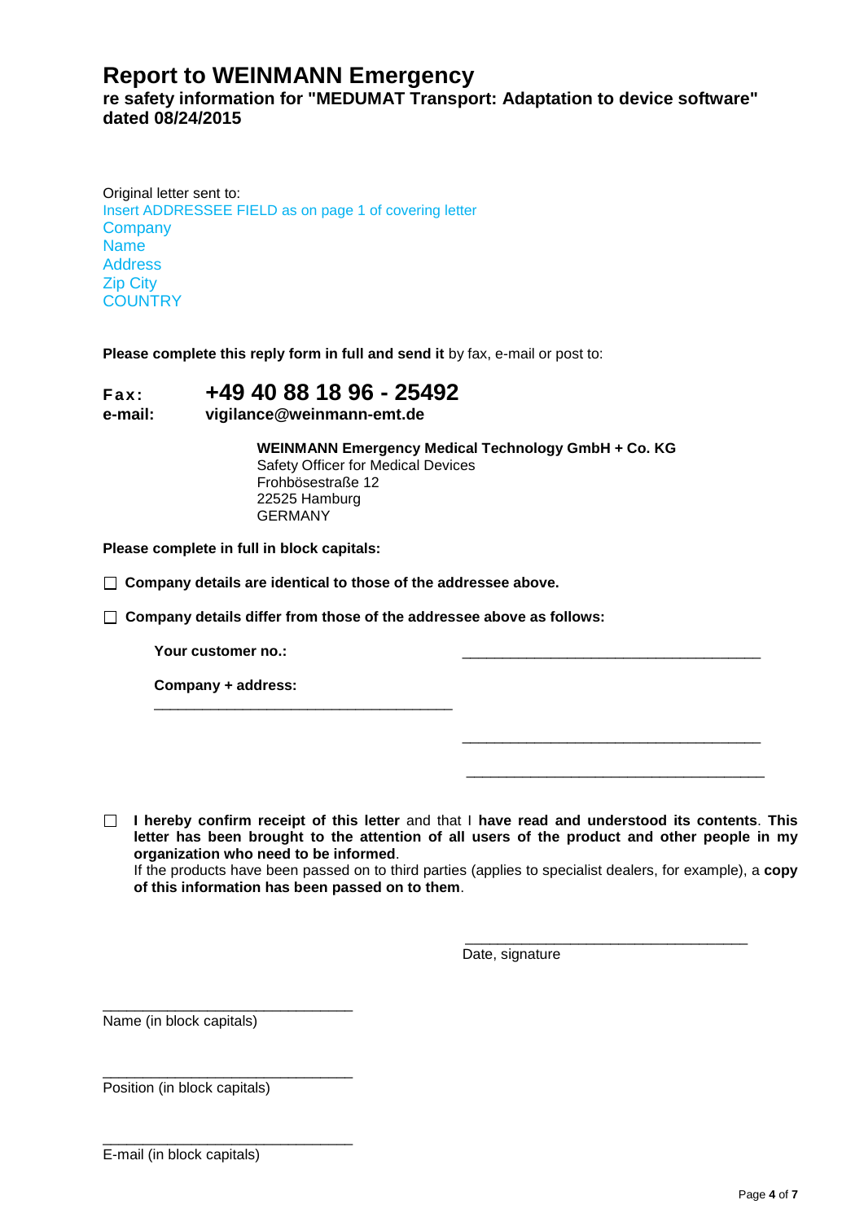## **Report to WEINMANN Emergency**

**re safety information for "MEDUMAT Transport: Adaptation to device software" dated 08/24/2015**

Original letter sent to: Insert ADDRESSEE FIELD as on page 1 of covering letter **Company** Name Address Zip City **COUNTRY** 

**Please complete this reply form in full and send it** by fax, e-mail or post to:

# **Fax: +49 40 88 18 96 - 25492**

## **e-mail: vigilance@weinmann-emt.de**

**WEINMANN Emergency Medical Technology GmbH + Co. KG** Safety Officer for Medical Devices Frohbösestraße 12 22525 Hamburg GERMANY

**Please complete in full in block capitals:** 

**Company details are identical to those of the addressee above.**

\_\_\_\_\_\_\_\_\_\_\_\_\_\_\_\_\_\_\_\_\_\_\_\_\_\_\_\_\_\_\_\_\_\_\_\_\_

**Company details differ from those of the addressee above as follows:**

Your customer no.:

**Company + address:** 

**I hereby confirm receipt of this letter** and that I **have read and understood its contents**. **This letter has been brought to the attention of all users of the product and other people in my organization who need to be informed**. If the products have been passed on to third parties (applies to specialist dealers, for example), a **copy of this information has been passed on to them**.

 $\_$ 

 $\overline{\phantom{a}}$  ,  $\overline{\phantom{a}}$  ,  $\overline{\phantom{a}}$  ,  $\overline{\phantom{a}}$  ,  $\overline{\phantom{a}}$  ,  $\overline{\phantom{a}}$  ,  $\overline{\phantom{a}}$  ,  $\overline{\phantom{a}}$  ,  $\overline{\phantom{a}}$  ,  $\overline{\phantom{a}}$  ,  $\overline{\phantom{a}}$  ,  $\overline{\phantom{a}}$  ,  $\overline{\phantom{a}}$  ,  $\overline{\phantom{a}}$  ,  $\overline{\phantom{a}}$  ,  $\overline{\phantom{a}}$ Date, signature

\_\_\_\_\_\_\_\_\_\_\_\_\_\_\_\_\_\_\_\_\_\_\_\_\_\_\_\_\_\_\_\_\_\_\_\_\_

\_\_\_\_\_\_\_\_\_\_\_\_\_\_\_\_\_\_\_\_\_\_\_\_\_\_\_\_\_\_\_ Name (in block capitals)

\_\_\_\_\_\_\_\_\_\_\_\_\_\_\_\_\_\_\_\_\_\_\_\_\_\_\_\_\_\_\_ Position (in block capitals)

\_\_\_\_\_\_\_\_\_\_\_\_\_\_\_\_\_\_\_\_\_\_\_\_\_\_\_\_\_\_\_ E-mail (in block capitals)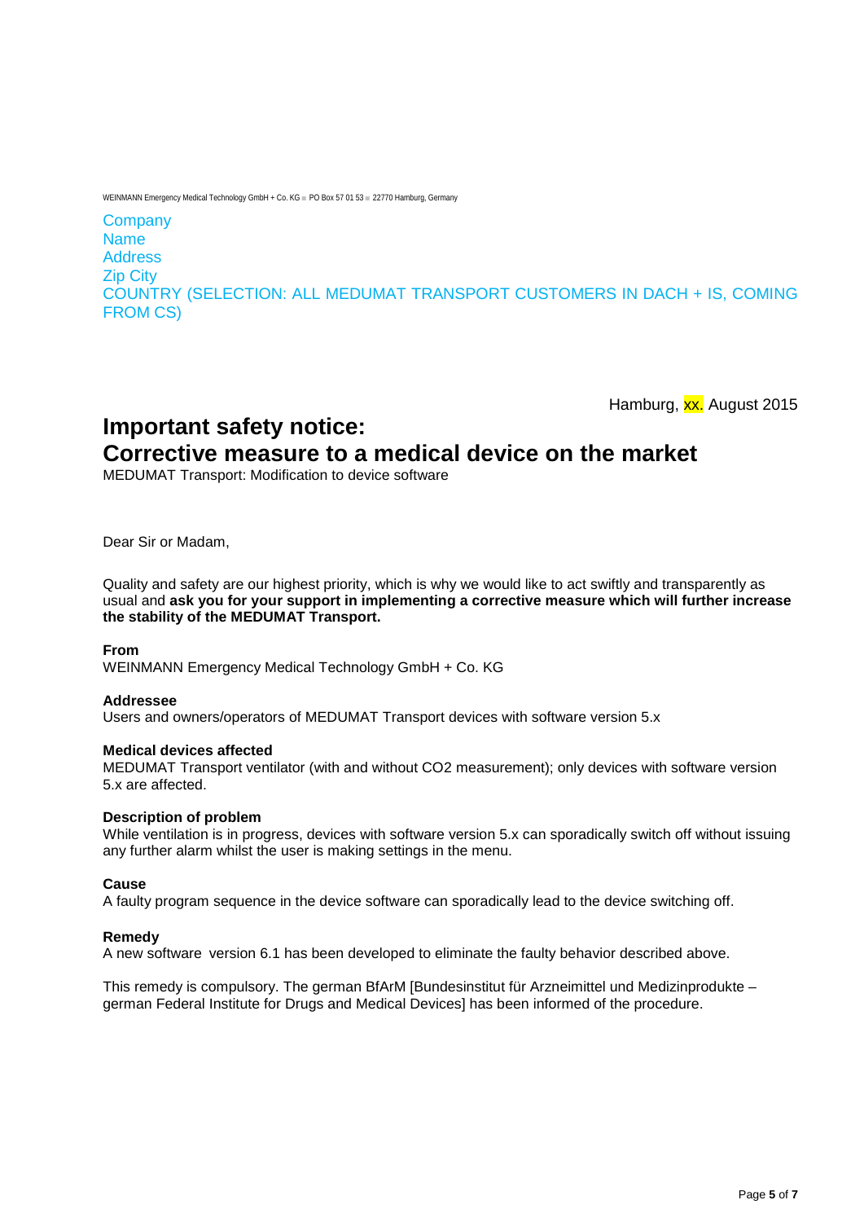WEINMANN Emergency Medical Technology GmbH + Co. KG · PO Box 57 01 53 · 22770 Hamburg, Germany

**Company** Name Address Zip City COUNTRY (SELECTION: ALL MEDUMAT TRANSPORT CUSTOMERS IN DACH + IS, COMING FROM CS)

Hamburg, xx. August 2015

**Important safety notice:** 

# **Corrective measure to a medical device on the market**

MEDUMAT Transport: Modification to device software

Dear Sir or Madam,

Quality and safety are our highest priority, which is why we would like to act swiftly and transparently as usual and **ask you for your support in implementing a corrective measure which will further increase the stability of the MEDUMAT Transport.**

## **From**

WEINMANN Emergency Medical Technology GmbH + Co. KG

## **Addressee**

Users and owners/operators of MEDUMAT Transport devices with software version 5.x

## **Medical devices affected**

MEDUMAT Transport ventilator (with and without CO2 measurement); only devices with software version 5.x are affected.

## **Description of problem**

While ventilation is in progress, devices with software version 5.x can sporadically switch off without issuing any further alarm whilst the user is making settings in the menu.

## **Cause**

A faulty program sequence in the device software can sporadically lead to the device switching off.

## **Remedy**

A new software version 6.1 has been developed to eliminate the faulty behavior described above.

This remedy is compulsory. The german BfArM [Bundesinstitut für Arzneimittel und Medizinprodukte – german Federal Institute for Drugs and Medical Devices] has been informed of the procedure.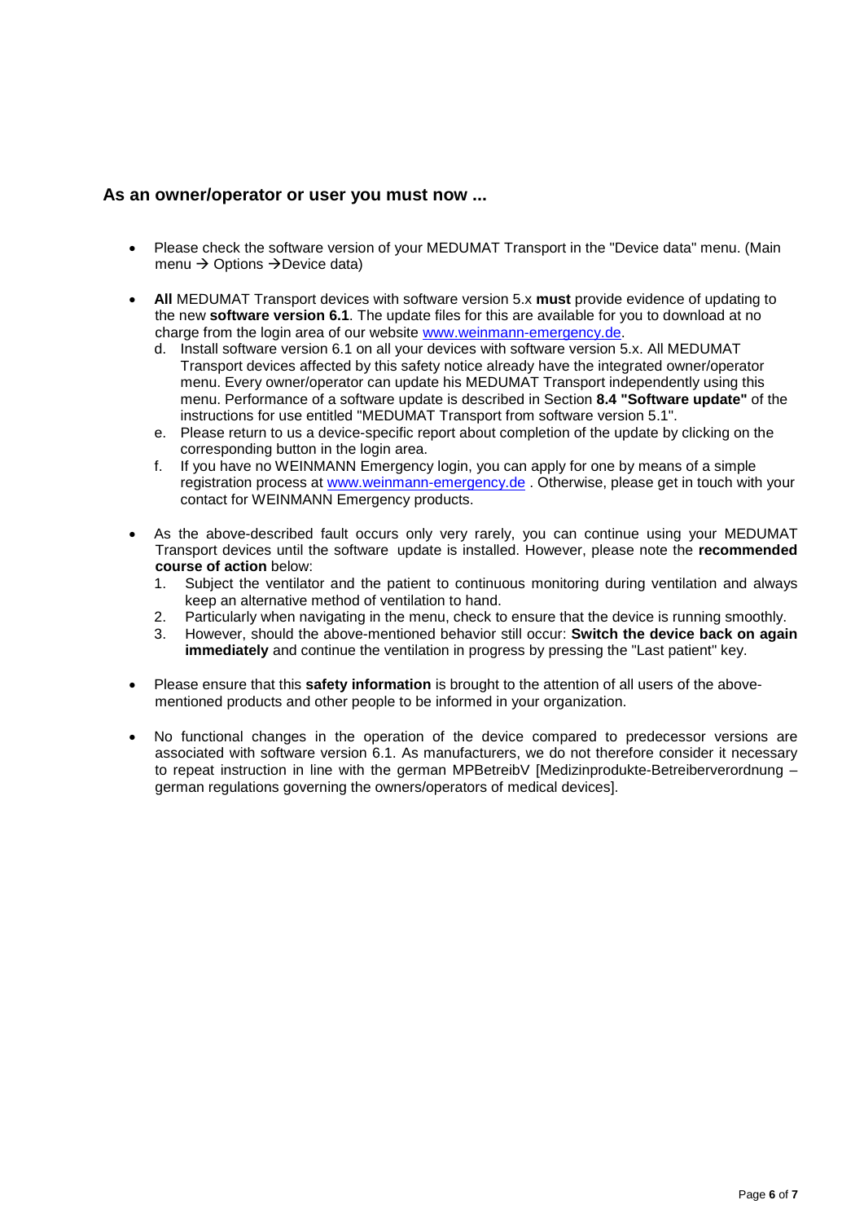## **As an owner/operator or user you must now ...**

- Please check the software version of your MEDUMAT Transport in the "Device data" menu. (Main menu  $\rightarrow$  Options  $\rightarrow$  Device data)
- **All** MEDUMAT Transport devices with software version 5.x **must** provide evidence of updating to the new **software version 6.1**. The update files for this are available for you to download at no charge from the login area of our website [www.weinmann-emergency.de.](http://www.weinmann-emergency.de/)
	- d. Install software version 6.1 on all your devices with software version 5.x. All MEDUMAT Transport devices affected by this safety notice already have the integrated owner/operator menu. Every owner/operator can update his MEDUMAT Transport independently using this menu. Performance of a software update is described in Section **8.4 "Software update"** of the instructions for use entitled "MEDUMAT Transport from software version 5.1".
	- e. Please return to us a device-specific report about completion of the update by clicking on the corresponding button in the login area.
	- f. If you have no WEINMANN Emergency login, you can apply for one by means of a simple registration process at [www.weinmann-emergency.de](http://www.weinmann-emergency.de/) . Otherwise, please get in touch with your contact for WEINMANN Emergency products.
- As the above-described fault occurs only very rarely, you can continue using your MEDUMAT Transport devices until the software update is installed. However, please note the **recommended course of action** below:
	- 1. Subject the ventilator and the patient to continuous monitoring during ventilation and always keep an alternative method of ventilation to hand.
	- 2. Particularly when navigating in the menu, check to ensure that the device is running smoothly.
	- 3. However, should the above-mentioned behavior still occur: **Switch the device back on again immediately** and continue the ventilation in progress by pressing the "Last patient" key.
- Please ensure that this **safety information** is brought to the attention of all users of the abovementioned products and other people to be informed in your organization.
- No functional changes in the operation of the device compared to predecessor versions are associated with software version 6.1. As manufacturers, we do not therefore consider it necessary to repeat instruction in line with the german MPBetreibV [Medizinprodukte-Betreiberverordnung – german regulations governing the owners/operators of medical devices].